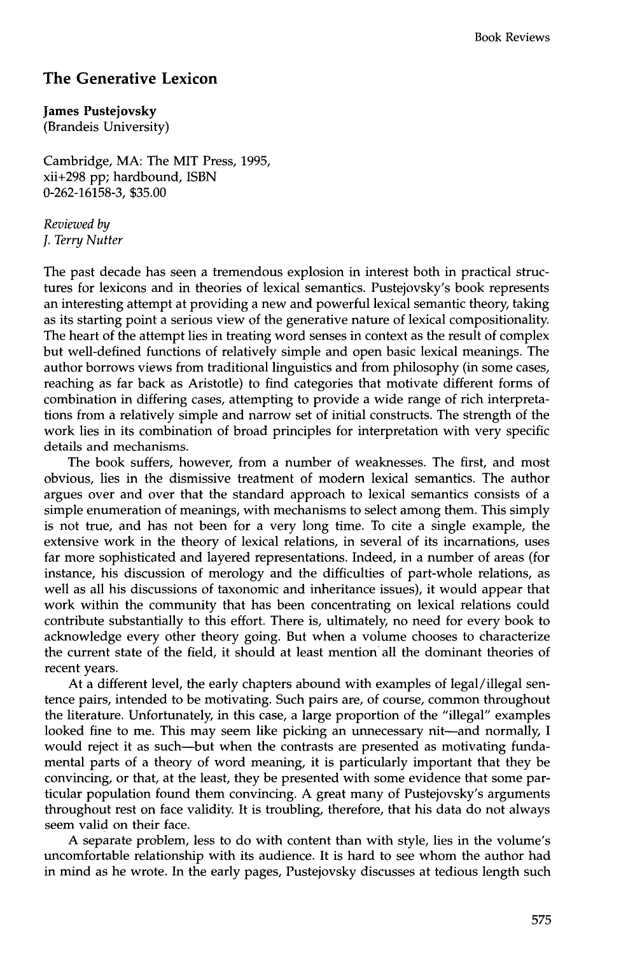## **The Generative Lexicon**

**James Pustejovsky**  (Brandeis University)

Cambridge, MA: The MIT Press, 1995, xii+298 pp; hardbound, ISBN 0-262-16158-3, \$35.00

*Reviewed by J. Terry Nutter* 

The past decade has seen a tremendous explosion in interest both in practical structures for lexicons and in theories of lexical semantics. Pustejovsky's book represents an interesting attempt at providing a new and powerful lexical semantic theory, taking as its starting point a serious view of the generative nature of lexical compositionality. The heart of the attempt lies in treating word senses in context as the result of complex but well-defined functions of relatively simple and open basic lexical meanings. The author borrows views from traditional linguistics and from philosophy (in some cases, reaching as far back as Aristotle) to find categories that motivate different forms of combination in differing cases, attempting to provide a wide range of rich interpretations from a relatively simple and narrow set of initial constructs. The strength of the work lies in its combination of broad principles for interpretation with very specific details and mechanisms.

The book suffers, however, from a number of weaknesses. The first, and most obvious, lies in the dismissive treatment of modern lexical semantics. The author argues over and over that the standard approach to lexical semantics consists of a simple enumeration of meanings, with mechanisms to select among them. This simply is not true, and has not been for a very long time. To cite a single example, the extensive work in the theory of lexical relations, in several of its incarnations, uses far more sophisticated and layered representations. Indeed, in a number of areas (for instance, his discussion of merology and the difficulties of part-whole relations, as well as all his discussions of taxonomic and inheritance issues), it would appear that work within the community that has been concentrating on lexical relations could contribute substantially to this effort. There is, ultimately, no need for every book to acknowledge every other theory going. But when a volume chooses to characterize the current state of the field, it should at least mention all the dominant theories of recent years.

At a different level, the early chapters abound with examples of legal/illegal sentence pairs, intended to be motivating. Such pairs are, of course, common throughout the literature. Unfortunately, in this case, a large proportion of the "illegal" examples looked fine to me. This may seem like picking an unnecessary nit--and normally, I would reject it as such--but when the contrasts are presented as motivating fundamental parts of a theory of word meaning, it is particularly important that they be convincing, or that, at the least, they be presented with some evidence that some particular population found them convincing. A great many of Pustejovsky's arguments throughout rest on face validity. It is troubling, therefore, that his data do not always seem valid on their face.

A separate problem, less to do with content than with style, lies in the volume's uncomfortable relationship with its audience. It is hard to see whom the author had in mind as he wrote. In the early pages, Pustejovsky discusses at tedious length such